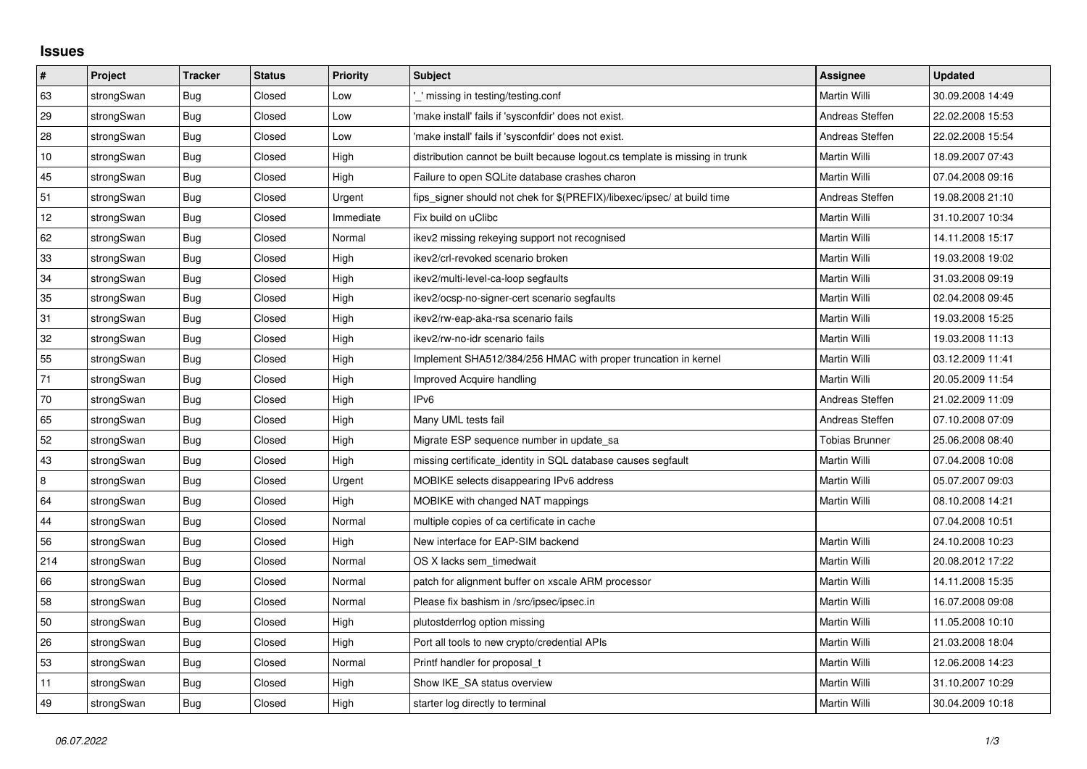## **Issues**

| $\vert$ # | Project    | <b>Tracker</b> | <b>Status</b> | Priority  | <b>Subject</b>                                                              | <b>Assignee</b>       | <b>Updated</b>   |
|-----------|------------|----------------|---------------|-----------|-----------------------------------------------------------------------------|-----------------------|------------------|
| 63        | strongSwan | Bug            | Closed        | Low       | missing in testing/testing.conf                                             | Martin Willi          | 30.09.2008 14:49 |
| 29        | strongSwan | <b>Bug</b>     | Closed        | Low       | 'make install' fails if 'sysconfdir' does not exist.                        | Andreas Steffen       | 22.02.2008 15:53 |
| $28\,$    | strongSwan | <b>Bug</b>     | Closed        | Low       | 'make install' fails if 'sysconfdir' does not exist.                        | Andreas Steffen       | 22.02.2008 15:54 |
| 10        | strongSwan | <b>Bug</b>     | Closed        | High      | distribution cannot be built because logout.cs template is missing in trunk | Martin Willi          | 18.09.2007 07:43 |
| 45        | strongSwan | Bug            | Closed        | High      | Failure to open SQLite database crashes charon                              | Martin Willi          | 07.04.2008 09:16 |
| 51        | strongSwan | Bug            | Closed        | Urgent    | fips_signer should not chek for \$(PREFIX)/libexec/ipsec/ at build time     | Andreas Steffen       | 19.08.2008 21:10 |
| 12        | strongSwan | Bug            | Closed        | Immediate | Fix build on uClibc                                                         | Martin Willi          | 31.10.2007 10:34 |
| 62        | strongSwan | Bug            | Closed        | Normal    | ikev2 missing rekeying support not recognised                               | Martin Willi          | 14.11.2008 15:17 |
| 33        | strongSwan | <b>Bug</b>     | Closed        | High      | ikev2/crl-revoked scenario broken                                           | Martin Willi          | 19.03.2008 19:02 |
| 34        | strongSwan | Bug            | Closed        | High      | ikev2/multi-level-ca-loop segfaults                                         | Martin Willi          | 31.03.2008 09:19 |
| 35        | strongSwan | Bug            | Closed        | High      | ikev2/ocsp-no-signer-cert scenario segfaults                                | Martin Willi          | 02.04.2008 09:45 |
| 31        | strongSwan | Bug            | Closed        | High      | ikev2/rw-eap-aka-rsa scenario fails                                         | Martin Willi          | 19.03.2008 15:25 |
| 32        | strongSwan | Bug            | Closed        | High      | ikev2/rw-no-idr scenario fails                                              | Martin Willi          | 19.03.2008 11:13 |
| 55        | strongSwan | Bug            | Closed        | High      | Implement SHA512/384/256 HMAC with proper truncation in kernel              | Martin Willi          | 03.12.2009 11:41 |
| 71        | strongSwan | <b>Bug</b>     | Closed        | High      | Improved Acquire handling                                                   | Martin Willi          | 20.05.2009 11:54 |
| $70\,$    | strongSwan | Bug            | Closed        | High      | IP <sub>v6</sub>                                                            | Andreas Steffen       | 21.02.2009 11:09 |
| 65        | strongSwan | <b>Bug</b>     | Closed        | High      | Many UML tests fail                                                         | Andreas Steffen       | 07.10.2008 07:09 |
| 52        | strongSwan | Bug            | Closed        | High      | Migrate ESP sequence number in update sa                                    | <b>Tobias Brunner</b> | 25.06.2008 08:40 |
| 43        | strongSwan | <b>Bug</b>     | Closed        | High      | missing certificate_identity in SQL database causes segfault                | Martin Willi          | 07.04.2008 10:08 |
| 8         | strongSwan | Bug            | Closed        | Urgent    | MOBIKE selects disappearing IPv6 address                                    | Martin Willi          | 05.07.2007 09:03 |
| 64        | strongSwan | <b>Bug</b>     | Closed        | High      | MOBIKE with changed NAT mappings                                            | Martin Willi          | 08.10.2008 14:21 |
| 44        | strongSwan | <b>Bug</b>     | Closed        | Normal    | multiple copies of ca certificate in cache                                  |                       | 07.04.2008 10:51 |
| 56        | strongSwan | Bug            | Closed        | High      | New interface for EAP-SIM backend                                           | Martin Willi          | 24.10.2008 10:23 |
| 214       | strongSwan | Bug            | Closed        | Normal    | OS X lacks sem timedwait                                                    | Martin Willi          | 20.08.2012 17:22 |
| 66        | strongSwan | Bug            | Closed        | Normal    | patch for alignment buffer on xscale ARM processor                          | Martin Willi          | 14.11.2008 15:35 |
| 58        | strongSwan | Bug            | Closed        | Normal    | Please fix bashism in /src/ipsec/ipsec.in                                   | Martin Willi          | 16.07.2008 09:08 |
| 50        | strongSwan | Bug            | Closed        | High      | plutostderrlog option missing                                               | Martin Willi          | 11.05.2008 10:10 |
| 26        | strongSwan | Bug            | Closed        | High      | Port all tools to new crypto/credential APIs                                | Martin Willi          | 21.03.2008 18:04 |
| 53        | strongSwan | <b>Bug</b>     | Closed        | Normal    | Printf handler for proposal_t                                               | Martin Willi          | 12.06.2008 14:23 |
| 11        | strongSwan | Bug            | Closed        | High      | Show IKE SA status overview                                                 | Martin Willi          | 31.10.2007 10:29 |
| 49        | strongSwan | Bug            | Closed        | High      | starter log directly to terminal                                            | Martin Willi          | 30.04.2009 10:18 |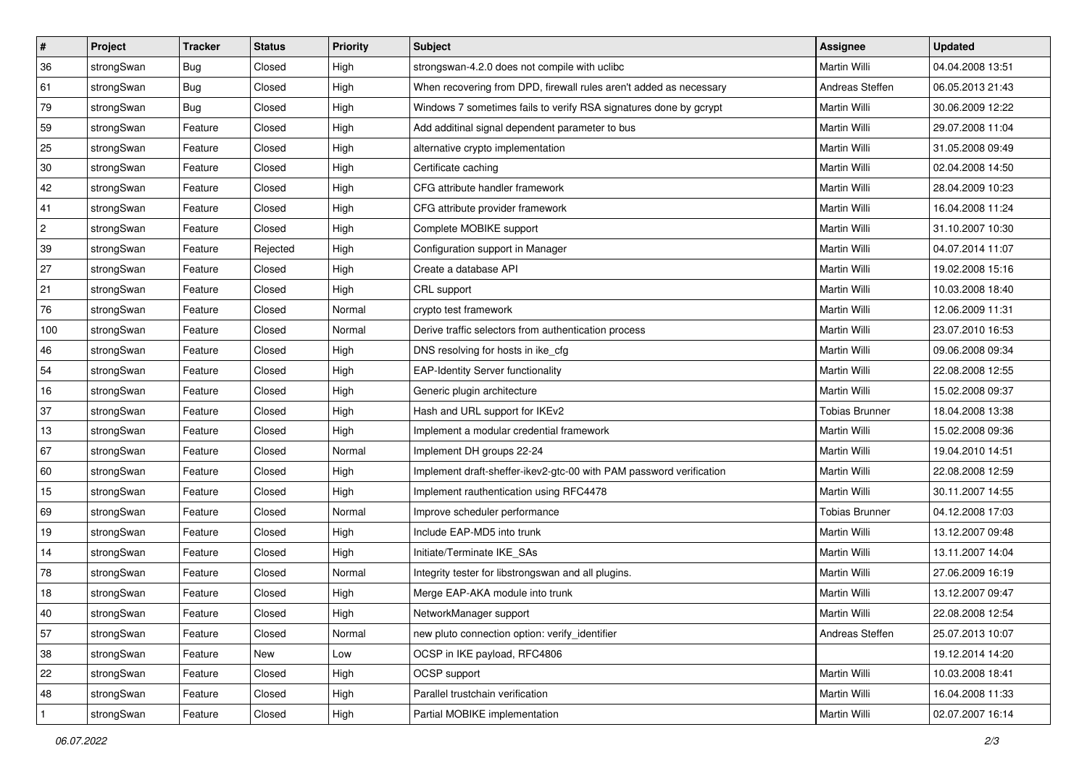| $\vert$ #    | Project    | <b>Tracker</b> | <b>Status</b> | <b>Priority</b> | Subject                                                             | Assignee              | <b>Updated</b>   |
|--------------|------------|----------------|---------------|-----------------|---------------------------------------------------------------------|-----------------------|------------------|
| 36           | strongSwan | Bug            | Closed        | High            | strongswan-4.2.0 does not compile with uclibc                       | Martin Willi          | 04.04.2008 13:51 |
| 61           | strongSwan | Bug            | Closed        | High            | When recovering from DPD, firewall rules aren't added as necessary  | Andreas Steffen       | 06.05.2013 21:43 |
| 79           | strongSwan | Bug            | Closed        | High            | Windows 7 sometimes fails to verify RSA signatures done by gcrypt   | Martin Willi          | 30.06.2009 12:22 |
| 59           | strongSwan | Feature        | Closed        | High            | Add additinal signal dependent parameter to bus                     | Martin Willi          | 29.07.2008 11:04 |
| 25           | strongSwan | Feature        | Closed        | High            | alternative crypto implementation                                   | Martin Willi          | 31.05.2008 09:49 |
| 30           | strongSwan | Feature        | Closed        | High            | Certificate caching                                                 | Martin Willi          | 02.04.2008 14:50 |
| 42           | strongSwan | Feature        | Closed        | High            | CFG attribute handler framework                                     | <b>Martin Willi</b>   | 28.04.2009 10:23 |
| 41           | strongSwan | Feature        | Closed        | High            | CFG attribute provider framework                                    | Martin Willi          | 16.04.2008 11:24 |
| $\mathbf{2}$ | strongSwan | Feature        | Closed        | High            | Complete MOBIKE support                                             | Martin Willi          | 31.10.2007 10:30 |
| 39           | strongSwan | Feature        | Rejected      | High            | Configuration support in Manager                                    | <b>Martin Willi</b>   | 04.07.2014 11:07 |
| 27           | strongSwan | Feature        | Closed        | High            | Create a database API                                               | Martin Willi          | 19.02.2008 15:16 |
| 21           | strongSwan | Feature        | Closed        | High            | CRL support                                                         | Martin Willi          | 10.03.2008 18:40 |
| 76           | strongSwan | Feature        | Closed        | Normal          | crypto test framework                                               | Martin Willi          | 12.06.2009 11:31 |
| 100          | strongSwan | Feature        | Closed        | Normal          | Derive traffic selectors from authentication process                | <b>Martin Willi</b>   | 23.07.2010 16:53 |
| 46           | strongSwan | Feature        | Closed        | High            | DNS resolving for hosts in ike_cfg                                  | <b>Martin Willi</b>   | 09.06.2008 09:34 |
| 54           | strongSwan | Feature        | Closed        | High            | <b>EAP-Identity Server functionality</b>                            | Martin Willi          | 22.08.2008 12:55 |
| 16           | strongSwan | Feature        | Closed        | High            | Generic plugin architecture                                         | Martin Willi          | 15.02.2008 09:37 |
| 37           | strongSwan | Feature        | Closed        | High            | Hash and URL support for IKEv2                                      | <b>Tobias Brunner</b> | 18.04.2008 13:38 |
| 13           | strongSwan | Feature        | Closed        | High            | Implement a modular credential framework                            | Martin Willi          | 15.02.2008 09:36 |
| 67           | strongSwan | Feature        | Closed        | Normal          | Implement DH groups 22-24                                           | Martin Willi          | 19.04.2010 14:51 |
| 60           | strongSwan | Feature        | Closed        | High            | Implement draft-sheffer-ikev2-gtc-00 with PAM password verification | Martin Willi          | 22.08.2008 12:59 |
| $15\,$       | strongSwan | Feature        | Closed        | High            | Implement rauthentication using RFC4478                             | Martin Willi          | 30.11.2007 14:55 |
| 69           | strongSwan | Feature        | Closed        | Normal          | Improve scheduler performance                                       | <b>Tobias Brunner</b> | 04.12.2008 17:03 |
| 19           | strongSwan | Feature        | Closed        | High            | Include EAP-MD5 into trunk                                          | Martin Willi          | 13.12.2007 09:48 |
| 14           | strongSwan | Feature        | Closed        | High            | Initiate/Terminate IKE_SAs                                          | Martin Willi          | 13.11.2007 14:04 |
| 78           | strongSwan | Feature        | Closed        | Normal          | Integrity tester for libstrongswan and all plugins.                 | <b>Martin Willi</b>   | 27.06.2009 16:19 |
| 18           | strongSwan | Feature        | Closed        | High            | Merge EAP-AKA module into trunk                                     | Martin Willi          | 13.12.2007 09:47 |
| 40           | strongSwan | Feature        | Closed        | High            | NetworkManager support                                              | Martin Willi          | 22.08.2008 12:54 |
| 57           | strongSwan | Feature        | Closed        | Normal          | new pluto connection option: verify identifier                      | Andreas Steffen       | 25.07.2013 10:07 |
| 38           | strongSwan | Feature        | New           | Low             | OCSP in IKE payload, RFC4806                                        |                       | 19.12.2014 14:20 |
| 22           | strongSwan | Feature        | Closed        | High            | OCSP support                                                        | Martin Willi          | 10.03.2008 18:41 |
| 48           | strongSwan | Feature        | Closed        | High            | Parallel trustchain verification                                    | Martin Willi          | 16.04.2008 11:33 |
| $\mathbf{1}$ | strongSwan | Feature        | Closed        | High            | Partial MOBIKE implementation                                       | Martin Willi          | 02.07.2007 16:14 |